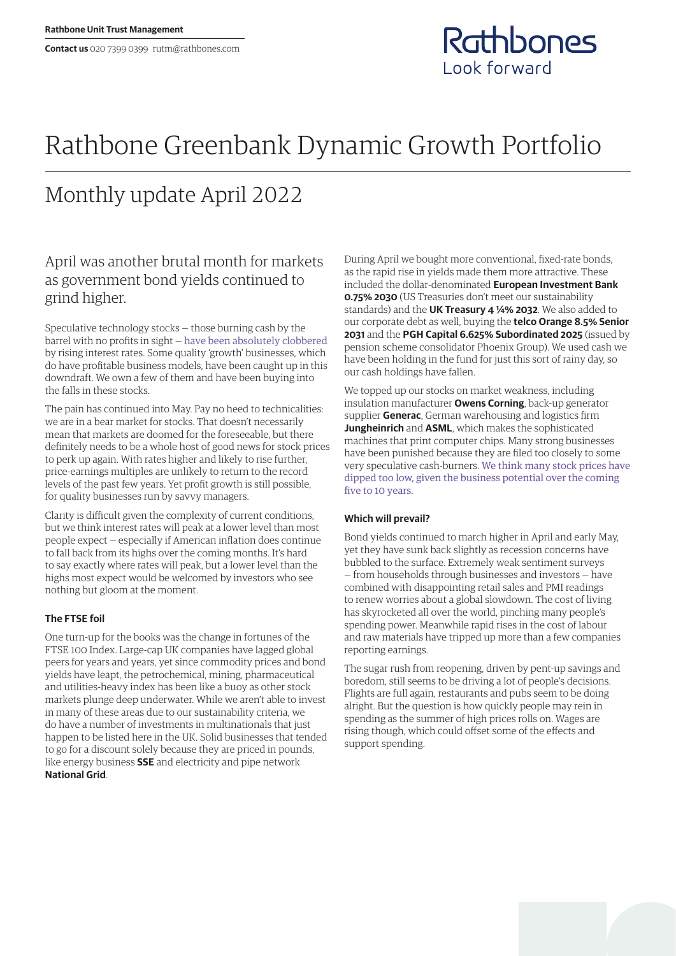

# Rathbone Greenbank Dynamic Growth Portfolio

## Monthly update April 2022

## April was another brutal month for markets as government bond yields continued to grind higher.

Speculative technology stocks — those burning cash by the barrel with no profits in sight — [have been absolutely clobbered](https://www.rathbones.com/blog/zombie-financing) by rising interest rates. Some quality 'growth' businesses, which do have profitable business models, have been caught up in this downdraft. We own a few of them and have been buying into the falls in these stocks.

The pain has continued into May. Pay no heed to technicalities: we are in a bear market for stocks. That doesn't necessarily mean that markets are doomed for the foreseeable, but there definitely needs to be a whole host of good news for stock prices to perk up again. With rates higher and likely to rise further, price‑earnings multiples are unlikely to return to the record levels of the past few years. Yet profit growth is still possible, for quality businesses run by savvy managers.

Clarity is difficult given the complexity of current conditions, but we think interest rates will peak at a lower level than most people expect — especially if American inflation does continue to fall back from its highs over the coming months. It's hard to say exactly where rates will peak, but a lower level than the highs most expect would be welcomed by investors who see nothing but gloom at the moment.

### **The FTSE foil**

One turn‑up for the books was the change in fortunes of the FTSE 100 Index. Large‑cap UK companies have lagged global peers for years and years, yet since commodity prices and bond yields have leapt, the petrochemical, mining, pharmaceutical and utilities-heavy index has been like a buoy as other stock markets plunge deep underwater. While we aren't able to invest in many of these areas due to our sustainability criteria, we do have a number of investments in multinationals that just happen to be listed here in the UK. Solid businesses that tended to go for a discount solely because they are priced in pounds, like energy business **SSE** and electricity and pipe network **National Grid**.

During April we bought more conventional, fixed-rate bonds, as the rapid rise in yields made them more attractive. These included the dollar-denominated **European Investment Bank 0.75% 2030** (US Treasuries don't meet our sustainability standards) and the **UK Treasury 4 ¼% 2032**. We also added to our corporate debt as well, buying the **telco Orange 8.5% Senior 2031** and the **PGH Capital 6.625% Subordinated 2025** (issued by pension scheme consolidator Phoenix Group). We used cash we have been holding in the fund for just this sort of rainy day, so our cash holdings have fallen.

We topped up our stocks on market weakness, including insulation manufacturer **Owens Corning**, back-up generator supplier **Generac**, German warehousing and logistics firm **Jungheinrich** and **ASML**, which makes the sophisticated machines that print computer chips. Many strong businesses have been punished because they are filed too closely to some very speculative cash-burners. [We think many stock prices have](https://linktr.ee/thesharpeend)  [dipped too low, given the business potential over the coming](https://linktr.ee/thesharpeend)  [five to 10 years](https://linktr.ee/thesharpeend).

### **Which will prevail?**

Bond yields continued to march higher in April and early May, yet they have sunk back slightly as recession concerns have bubbled to the surface. Extremely weak sentiment surveys — from households through businesses and investors — have combined with disappointing retail sales and PMI readings to renew worries about a global slowdown. The cost of living has skyrocketed all over the world, pinching many people's spending power. Meanwhile rapid rises in the cost of labour and raw materials have tripped up more than a few companies reporting earnings.

The sugar rush from reopening, driven by pent-up savings and boredom, still seems to be driving a lot of people's decisions. Flights are full again, restaurants and pubs seem to be doing alright. But the question is how quickly people may rein in spending as the summer of high prices rolls on. Wages are rising though, which could offset some of the effects and support spending.